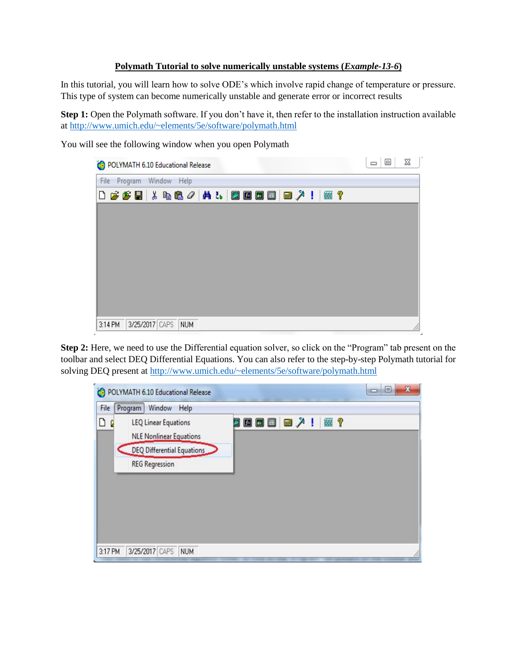## **Polymath Tutorial to solve numerically unstable systems (***Example-13-6***)**

In this tutorial, you will learn how to solve ODE's which involve rapid change of temperature or pressure. This type of system can become numerically unstable and generate error or incorrect results

**Step 1:** Open the Polymath software. If you don't have it, then refer to the installation instruction available at<http://www.umich.edu/~elements/5e/software/polymath.html>

You will see the following window when you open Polymath



**Step 2:** Here, we need to use the Differential equation solver, so click on the "Program" tab present on the toolbar and select DEQ Differential Equations. You can also refer to the step-by-step Polymath tutorial for solving DEQ present a[t http://www.umich.edu/~elements/5e/software/polymath.html](http://www.umich.edu/~elements/5e/software/polymath.html)

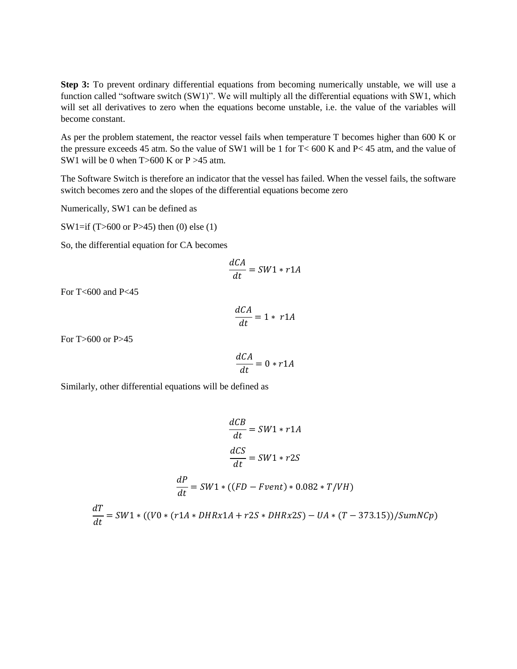**Step 3:** To prevent ordinary differential equations from becoming numerically unstable, we will use a function called "software switch (SW1)". We will multiply all the differential equations with SW1, which will set all derivatives to zero when the equations become unstable, i.e. the value of the variables will become constant.

As per the problem statement, the reactor vessel fails when temperature T becomes higher than 600 K or the pressure exceeds 45 atm. So the value of SW1 will be 1 for T< 600 K and P< 45 atm, and the value of SW1 will be 0 when  $T > 600$  K or P  $> 45$  atm.

The Software Switch is therefore an indicator that the vessel has failed. When the vessel fails, the software switch becomes zero and the slopes of the differential equations become zero

Numerically, SW1 can be defined as

SW1=if (T>600 or P>45) then (0) else (1)

So, the differential equation for CA becomes

$$
\frac{dCA}{dt} = SW1 * r1A
$$

For T<600 and P<45

$$
\frac{dCA}{dt} = 1 * r1A
$$

For T>600 or P>45

$$
\frac{dCA}{dt} = 0 * r1A
$$

Similarly, other differential equations will be defined as

$$
\frac{dCB}{dt} = SW1 * r1A
$$

$$
\frac{dCS}{dt} = SW1 * r2S
$$

$$
\frac{dP}{dt} = SW1 * ((FD - Fvent) * 0.082 * T/VM)
$$

$$
\frac{dT}{dt} = SW1 * ((V0 * (r1A * DHRx1A + r2S * DHRx2S) - UA * (T - 373.15))/SumNCp)
$$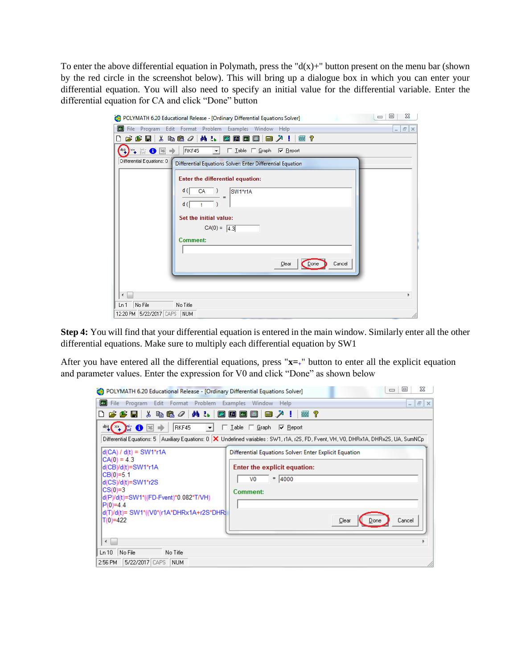To enter the above differential equation in Polymath, press the " $d(x)$ +" button present on the menu bar (shown by the red circle in the screenshot below). This will bring up a dialogue box in which you can enter your differential equation. You will also need to specify an initial value for the differential variable. Enter the differential equation for CA and click "Done" button

| POLYMATH 6.20 Educational Release - [Ordinary Differential Equations Solver]                                  | 23<br>▣<br>$\qquad \qquad \Box$ |
|---------------------------------------------------------------------------------------------------------------|---------------------------------|
| $\qquad \qquad \blacksquare$<br>File Program Edit Format Problem Examples Window Help                         | $E \times$<br>$\sim$            |
| <b>确品</b><br>6 F H & & & 0  <br>2600<br>■ 人!<br>霊?<br>۱٦                                                      |                                 |
| $\log$<br>RKF45<br>$x_+$ in $\bigcirc$ $x$<br>□ Lable □ Graph □ Report<br>٠                                   |                                 |
| Differential Equations: 0<br>Differential Equations Solver: Enter Differential Equation                       |                                 |
| Enter the differential equation:<br>d(<br>CA<br>SW1*r1A<br>d(<br>t<br>Set the initial value:<br>$CA(0) = 4.3$ |                                 |
| <b>Comment:</b><br>Cancel<br>Clear<br>Done                                                                    |                                 |
| ∢<br>No File<br>No Title<br>Ln <sub>1</sub><br>12:20 PM 5/22/2017 CAPS<br><b>NUM</b>                          |                                 |

**Step 4:** You will find that your differential equation is entered in the main window. Similarly enter all the other differential equations. Make sure to multiply each differential equation by SW1

After you have entered all the differential equations, press "**x=+**" button to enter all the explicit equation and parameter values. Enter the expression for V0 and click "Done" as shown below

| 23<br>$\Box$<br>$\qquad \qquad \Box$<br>(1) POLYMATH 6.20 Educational Release - [Ordinary Differential Equations Solver]                                                                                                                                                                                                                                                                           |
|----------------------------------------------------------------------------------------------------------------------------------------------------------------------------------------------------------------------------------------------------------------------------------------------------------------------------------------------------------------------------------------------------|
| <b>B</b> File Program<br>Edit Format Problem Examples Window Help<br>$ \sigma$ $\times$                                                                                                                                                                                                                                                                                                            |
| <u> る 毛 色 ク   ぬ み  </u><br>26 国国<br>  第19<br>$\mathcal{B} \mathcal{B}$ by<br>▄, ↗ !<br>I٦                                                                                                                                                                                                                                                                                                          |
| RKF45<br>$\frac{d\omega_1}{4}$ $\left(\frac{x}{4}\right)$<br>▓❶图→<br>$\mathbf{r}$<br>□ Lable □ Graph □ Report                                                                                                                                                                                                                                                                                      |
| Differential Equations: 5   Auxiliary Equations: 0   X Undefined variables : SW1, r1A, r2S, FD, Fvent, VH, V0, DHRx1A, DHRx2S, UA, SumNCp                                                                                                                                                                                                                                                          |
| $d(CA) / d(t) = SW1*r1A$<br>Differential Equations Solver: Enter Explicit Equation<br>$CA(0) = 4.3$<br>d(CB)/d(t)=SW1*r1A<br>Enter the explicit equation:<br>$CB(0)=5.1$<br>$=  4000$<br>V <sub>0</sub><br>d(CS)/d(t)=SW1*r2S<br>$CS(0)=3$<br>Comment:<br>d(P)/d(t)=SW1*((FD-Fvent)*0.082*T/VH)<br>$P(0)=4.4$<br>d(T)/d(t)= SW1*((V0*(r1A*DHRx1A+r2S*DHR)<br>$T(0)=422$<br>Clear<br>Cancel<br>Done |
| $\leftarrow$                                                                                                                                                                                                                                                                                                                                                                                       |
| Ln 10 No File<br>No Title<br>5/22/2017 CAPS<br>2:56 PM<br><b>NUM</b>                                                                                                                                                                                                                                                                                                                               |
|                                                                                                                                                                                                                                                                                                                                                                                                    |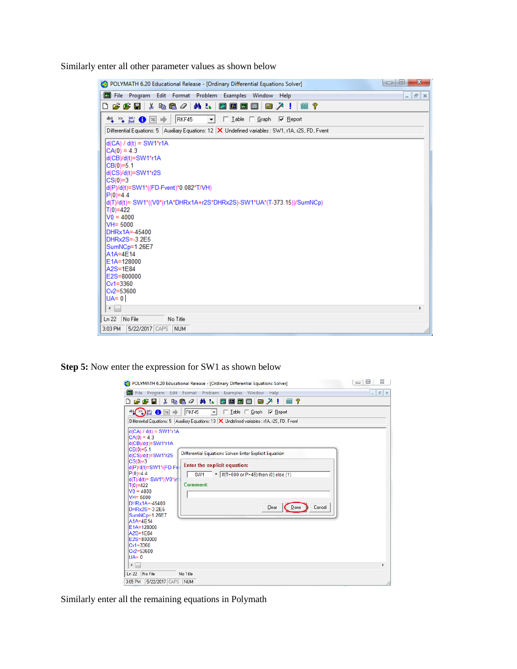Similarly enter all other parameter values as shown below

| POLYMATH 6.20 Educational Release - [Ordinary Differential Equations Solver]                           | $\mathbf{x}$<br>$\begin{array}{c c c c c} \hline \multicolumn{1}{c }{\textbf{0}} & \multicolumn{1}{c }{\textbf{0}} \end{array}$ |
|--------------------------------------------------------------------------------------------------------|---------------------------------------------------------------------------------------------------------------------------------|
| <b>B</b> File Program<br>Edit Format Problem Examples Window Help                                      | $F \times$<br>$\overline{\phantom{0}}$                                                                                          |
| ↓ も追∥ <br>@4 ₹ь<br>凸ぱ多目<br>2图画<br>囲<br>  黛 ?<br> ■ ↗ !                                                 |                                                                                                                                 |
| RKF45<br>□ Lable □ Graph □ Report<br>ª ™ ₩ ₩ ₩ ₩ ₩<br>$\vert \cdot \vert$                              |                                                                                                                                 |
| Differential Equations: 5   Auxiliary Equations: 12   X Undefined variables : SW1, r1A, r2S, FD, Fvent |                                                                                                                                 |
|                                                                                                        |                                                                                                                                 |
| $d(CA) / d(t) = SW1*r1A$<br>$CA(0) = 4.3$                                                              |                                                                                                                                 |
| d(CB)/d(t)=SW1*r1A                                                                                     |                                                                                                                                 |
| $CB(0)=5.1$                                                                                            |                                                                                                                                 |
| d(CS)/d(t)=SW1*r2S                                                                                     |                                                                                                                                 |
| $ CS(0)=3$<br>d(P)/d(t)=SW1*((FD-Fvent)*0.082*T/VH)                                                    |                                                                                                                                 |
| $P(0)=4.4$                                                                                             |                                                                                                                                 |
| d(T)/d(t)= SW1*((V0*(r1A*DHRx1A+r2S*DHRx2S)-SW1*UA*(T-373.15))/SumNCp)                                 |                                                                                                                                 |
| T(0)=422                                                                                               |                                                                                                                                 |
| $V0 = 4000$<br>VH= 5000                                                                                |                                                                                                                                 |
| DHRx1A=-45400                                                                                          |                                                                                                                                 |
| DHRx2S=-3.2E5                                                                                          |                                                                                                                                 |
| SumNCp=1.26E7<br>A1A=4E14                                                                              |                                                                                                                                 |
| E1A=128000                                                                                             |                                                                                                                                 |
| A2S=1E84                                                                                               |                                                                                                                                 |
| E2S=800000                                                                                             |                                                                                                                                 |
| $Cv1 = 3360$<br>$Cv2 = 53600$                                                                          |                                                                                                                                 |
| $U = 0$                                                                                                |                                                                                                                                 |
| $\leftarrow$                                                                                           | Þ                                                                                                                               |
| Ln 22 No File<br>No Title                                                                              |                                                                                                                                 |
| 5/22/2017 CAPS NUM<br>3:03 PM                                                                          |                                                                                                                                 |

**Step 5:** Now enter the expression for SW1 as shown below

| POLYMATH 6.20 Educational Release - [Ordinary Differential Equations Solver]                                                                                                                                                                                                                                                                                                                                                                             | 23<br>▣<br>$\Box$                      |
|----------------------------------------------------------------------------------------------------------------------------------------------------------------------------------------------------------------------------------------------------------------------------------------------------------------------------------------------------------------------------------------------------------------------------------------------------------|----------------------------------------|
| File Program Edit Format Problem Examples Window Help                                                                                                                                                                                                                                                                                                                                                                                                    | $F \times$<br>$\overline{\phantom{a}}$ |
| <b>确 to</b><br>盖<br>\$80<br><b>Z</b> F<br>圓<br>■ ↗ !<br>垂 ?<br>η<br>房房日                                                                                                                                                                                                                                                                                                                                                                                  |                                        |
| $\mathbb{E} \boxtimes \mathbb{D}^{\mathbb{N}}$<br>RKF45<br>□ Lable □ Graph   区 Report<br>$\vert \cdot \vert$<br>Differential Equations: 5   Auxiliary Equations: 13   X Undefined variables : r1A, r2S, FD, Fvent<br>$d(CA) / d(t) = SW1*r1A$                                                                                                                                                                                                            |                                        |
| $CA(0) = 4.3$<br>d(CB)/d(t)=SW1*r1A<br>$CB(0)=5.1$<br>Differential Equations Solver: Enter Explicit Equation<br>d(CS)/d(t)=SW1*r2S<br>$CS(0)=3$<br>Enter the explicit equation:<br>d(P)/d(t)=SW1*((FD-Fv<br>$P(0)=4.4$<br>= If(T>600 or P>45) then (0) else (1)<br>SW <sub>1</sub><br>d(T)/d(t)= SW1*((V0*(r)<br><b>Comment:</b><br>T(0)=422<br>$V0 = 4000$<br>$VH = 5000$<br>DHRx1A=-45400<br>Clear<br>Done<br>Cancel<br>DHRx2S=-3.2E5<br>SumNCp=1.26E7 |                                        |
| $A1A=4F14$<br>E1A=128000<br>$A2S=1E84$<br>E2S=800000<br>$Cv1 = 3360$<br>$Cv2 = 53600$<br>$UA = 0$                                                                                                                                                                                                                                                                                                                                                        |                                        |
| $\blacktriangleleft$                                                                                                                                                                                                                                                                                                                                                                                                                                     | Þ.                                     |
| Ln 22<br>No File<br>No Title                                                                                                                                                                                                                                                                                                                                                                                                                             |                                        |
| 5/22/2017 CAPS<br>3:05 PM<br><b>NUM</b>                                                                                                                                                                                                                                                                                                                                                                                                                  |                                        |

Similarly enter all the remaining equations in Polymath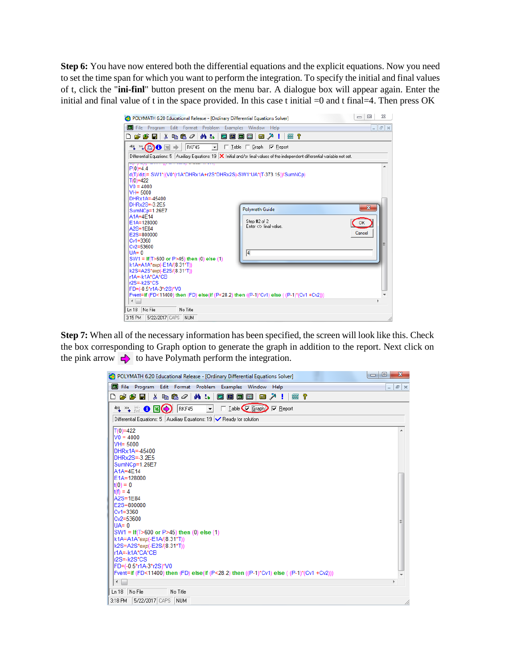**Step 6:** You have now entered both the differential equations and the explicit equations. Now you need to set the time span for which you want to perform the integration. To specify the initial and final values of t, click the "**ini-finl**" button present on the menu bar. A dialogue box will appear again. Enter the initial and final value of t in the space provided. In this case t initial  $=0$  and t final $=4$ . Then press OK

| 23<br>回<br>$\qquad \qquad \Box$<br>POLYMATH 6.20 Educational Release - [Ordinary Differential Equations Solver]                                                                                                                                                                                                                                                                                                                                                                                                      |
|----------------------------------------------------------------------------------------------------------------------------------------------------------------------------------------------------------------------------------------------------------------------------------------------------------------------------------------------------------------------------------------------------------------------------------------------------------------------------------------------------------------------|
| File Program Edit Format Problem Examples Window Help<br>F X<br>÷.                                                                                                                                                                                                                                                                                                                                                                                                                                                   |
| 筛品<br>* 480  <br>$f \times$ $\boxed{dx}$<br>房房日<br>Ø<br>圓<br>↗<br>垂 ?<br><b>Final</b><br>-1<br>ו ו                                                                                                                                                                                                                                                                                                                                                                                                                   |
| $^4$ $^2$ $^2$ $^2$ $^2$ $^2$ $\bullet$ $^2$ $\bullet$<br>RKF45<br>$\Box$ Table<br>$\Box$ Graph<br>$\nabla$ Report<br>$\mathbf{r}$<br>Differential Equations: 5 Auxiliary Equations: 19 $\vert$ X Initial and/or final values of the independent differential variable not set.<br>with the same of the complete state of the same of the same of the same of the same of the same of the same of<br>$P(0)=4.4$<br>d(T)/d(t)= SW1*((V0*(r1A*DHRx1A+r2S*DHRx2S)-SW1*UA*(T-373.15))/SumNCp)<br>T(0)=422<br>$V0 = 4000$ |
| $VH = 5000$<br>DHRx1A=-45400<br>DHRx2S=-3.2E5<br>$\mathbf{x}$<br><b>Polymath Guide</b><br>SumNCp=1.26E7<br>$A1A=4E14$<br>Step #2 of 2<br>F1A=128000<br>OK<br>Enter <t> final value.<br/><math>A2S=1E84</math><br/>Cancel<br/>E2S=800000<br/><math>Cv1 = 3360</math></t>                                                                                                                                                                                                                                              |
| $Cv2 = 53600$<br>$\vert$ 4<br>$U = A U$<br>SW1 = If(T>600 or P>45) then (0) else (1)<br>k1A=A1A*exp(-E1A/(8.31*T))<br>k2S=A2S*exp(-E2S/(8.31*T))<br>r1A=-k1A*CA*CB<br>r2S=-k2S*CS<br>FD=(-0.5*r1A-3*r2S)*V0<br>Fvent=if (FD<11400) then (FD) else(if (P<28.2) then ((P-1)*Cv1) else ((P-1)*(Cv1 +Cv2)))                                                                                                                                                                                                              |
| $\blacktriangleleft$<br>b.<br>No File<br>Ln 18<br>No Title<br>5/22/2017 CAPS<br><b>NUM</b><br>3:15 PM                                                                                                                                                                                                                                                                                                                                                                                                                |

**Step 7:** When all of the necessary information has been specified, the screen will look like this. Check the box corresponding to Graph option to generate the graph in addition to the report. Next click on the pink arrow  $\blacktriangle$  to have Polymath perform the integration.

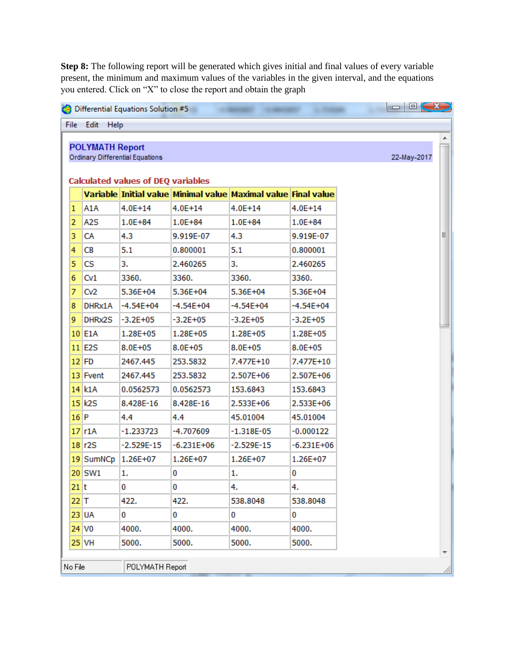**Step 8:** The following report will be generated which gives initial and final values of every variable present, the minimum and maximum values of the variables in the given interval, and the equations you entered. Click on "X" to close the report and obtain the graph

| <b>POLYMATH Report</b><br><b>Ordinary Differential Equations</b><br>Variable Initial value Minimal value Maximal value Final value<br>A1A<br>$4.0E + 14$<br>$4.0E + 14$<br>$4.0E + 14$<br>$4.0E + 14$<br>A <sub>2</sub> S<br>$1.0E + 84$<br>$1.0E + 84$<br>$1.0E + 84$<br>$1.0E + 84$<br>CA<br>4.3<br>9.919E-07<br>4.3<br>9.919E-07<br><b>CB</b><br>5.1<br>0.800001<br>5.1<br>0.800001<br><b>CS</b><br>3.<br>2.460265<br>з.<br>2.460265<br>Cv1<br>3360.<br>3360.<br>3360.<br>3360.<br>CV <sub>2</sub><br>5.36E+04<br>5.36E+04<br>5.36E+04<br>5.36E+04<br>DHRx1A<br>$-4.54E + 04$<br>-4.54E+04<br>-4.54E+04<br>$-4.54E + 04$<br>DHRx2S<br>$-3.2E + 05$<br>$-3.2E + 05$<br>$-3.2E + 05$<br>$-3.2E + 05$<br>1.28E+05<br>$1.28E + 05$<br>$1.28E + 05$<br>$1.28E + 05$<br>$8.0E + 05$<br>$8.0E + 05$<br>$8.0E + 05$<br>$8.0E + 05$<br>7.477E+10<br>7.477E+10<br>2467.445<br>253.5832<br>2467.445<br>253.5832<br>2.507E+06<br>2.507E+06<br>0.0562573<br>0.0562573<br>153.6843<br>153.6843<br>2.533E+06<br>8.428E-16<br>8.428E-16<br>2.533E+06<br>45.01004<br>4.4<br>4.4<br>45.01004<br>r1A<br>$-1.233723$<br>-4.707609<br>$-1.318E-05$<br>$-0.000122$<br>$-2.529E-15$<br>-6.231E+06<br>$-2.529E-15$<br>-6.231E+06<br>1.26E+07<br>$1.26E + 07$<br>$1.26E + 07$<br>$1.26E + 07$<br>0<br>0<br>1.<br>1.<br>0<br>0<br>4.<br>4.<br>422.<br>422.<br>538.8048<br>538.8048<br>0<br>0<br>0<br>0<br>4000.<br>4000.<br>4000.<br>4000.<br>5000.<br>5000.<br>5000.<br>5000. |             |
|---------------------------------------------------------------------------------------------------------------------------------------------------------------------------------------------------------------------------------------------------------------------------------------------------------------------------------------------------------------------------------------------------------------------------------------------------------------------------------------------------------------------------------------------------------------------------------------------------------------------------------------------------------------------------------------------------------------------------------------------------------------------------------------------------------------------------------------------------------------------------------------------------------------------------------------------------------------------------------------------------------------------------------------------------------------------------------------------------------------------------------------------------------------------------------------------------------------------------------------------------------------------------------------------------------------------------------------------------------------------------------------------------------------------------------------------------------|-------------|
| <b>Calculated values of DEQ variables</b>                                                                                                                                                                                                                                                                                                                                                                                                                                                                                                                                                                                                                                                                                                                                                                                                                                                                                                                                                                                                                                                                                                                                                                                                                                                                                                                                                                                                               | 22-May-2017 |
| 1<br>2<br>з<br>4<br>5<br>7<br>8<br>9<br>$10$ E1A<br>$11$ E2S<br>$12$ FD<br>13 Fvent<br>$14$ $k1A$<br>$15$ k2S<br>$16$ P<br>17 <sup>1</sup><br>18 r2S<br>19 SumNCp<br>$20$ SW1<br>$21$ <sub>t</sub><br>$22$ T<br>$23$ UA<br>$24$ VO<br>$25$ VH                                                                                                                                                                                                                                                                                                                                                                                                                                                                                                                                                                                                                                                                                                                                                                                                                                                                                                                                                                                                                                                                                                                                                                                                           |             |
| 6                                                                                                                                                                                                                                                                                                                                                                                                                                                                                                                                                                                                                                                                                                                                                                                                                                                                                                                                                                                                                                                                                                                                                                                                                                                                                                                                                                                                                                                       |             |
|                                                                                                                                                                                                                                                                                                                                                                                                                                                                                                                                                                                                                                                                                                                                                                                                                                                                                                                                                                                                                                                                                                                                                                                                                                                                                                                                                                                                                                                         |             |
|                                                                                                                                                                                                                                                                                                                                                                                                                                                                                                                                                                                                                                                                                                                                                                                                                                                                                                                                                                                                                                                                                                                                                                                                                                                                                                                                                                                                                                                         |             |
|                                                                                                                                                                                                                                                                                                                                                                                                                                                                                                                                                                                                                                                                                                                                                                                                                                                                                                                                                                                                                                                                                                                                                                                                                                                                                                                                                                                                                                                         |             |
|                                                                                                                                                                                                                                                                                                                                                                                                                                                                                                                                                                                                                                                                                                                                                                                                                                                                                                                                                                                                                                                                                                                                                                                                                                                                                                                                                                                                                                                         |             |
|                                                                                                                                                                                                                                                                                                                                                                                                                                                                                                                                                                                                                                                                                                                                                                                                                                                                                                                                                                                                                                                                                                                                                                                                                                                                                                                                                                                                                                                         |             |
|                                                                                                                                                                                                                                                                                                                                                                                                                                                                                                                                                                                                                                                                                                                                                                                                                                                                                                                                                                                                                                                                                                                                                                                                                                                                                                                                                                                                                                                         |             |
|                                                                                                                                                                                                                                                                                                                                                                                                                                                                                                                                                                                                                                                                                                                                                                                                                                                                                                                                                                                                                                                                                                                                                                                                                                                                                                                                                                                                                                                         |             |
|                                                                                                                                                                                                                                                                                                                                                                                                                                                                                                                                                                                                                                                                                                                                                                                                                                                                                                                                                                                                                                                                                                                                                                                                                                                                                                                                                                                                                                                         |             |
|                                                                                                                                                                                                                                                                                                                                                                                                                                                                                                                                                                                                                                                                                                                                                                                                                                                                                                                                                                                                                                                                                                                                                                                                                                                                                                                                                                                                                                                         |             |
|                                                                                                                                                                                                                                                                                                                                                                                                                                                                                                                                                                                                                                                                                                                                                                                                                                                                                                                                                                                                                                                                                                                                                                                                                                                                                                                                                                                                                                                         |             |
|                                                                                                                                                                                                                                                                                                                                                                                                                                                                                                                                                                                                                                                                                                                                                                                                                                                                                                                                                                                                                                                                                                                                                                                                                                                                                                                                                                                                                                                         |             |
|                                                                                                                                                                                                                                                                                                                                                                                                                                                                                                                                                                                                                                                                                                                                                                                                                                                                                                                                                                                                                                                                                                                                                                                                                                                                                                                                                                                                                                                         |             |
|                                                                                                                                                                                                                                                                                                                                                                                                                                                                                                                                                                                                                                                                                                                                                                                                                                                                                                                                                                                                                                                                                                                                                                                                                                                                                                                                                                                                                                                         |             |
|                                                                                                                                                                                                                                                                                                                                                                                                                                                                                                                                                                                                                                                                                                                                                                                                                                                                                                                                                                                                                                                                                                                                                                                                                                                                                                                                                                                                                                                         |             |
|                                                                                                                                                                                                                                                                                                                                                                                                                                                                                                                                                                                                                                                                                                                                                                                                                                                                                                                                                                                                                                                                                                                                                                                                                                                                                                                                                                                                                                                         |             |
|                                                                                                                                                                                                                                                                                                                                                                                                                                                                                                                                                                                                                                                                                                                                                                                                                                                                                                                                                                                                                                                                                                                                                                                                                                                                                                                                                                                                                                                         |             |
|                                                                                                                                                                                                                                                                                                                                                                                                                                                                                                                                                                                                                                                                                                                                                                                                                                                                                                                                                                                                                                                                                                                                                                                                                                                                                                                                                                                                                                                         |             |
|                                                                                                                                                                                                                                                                                                                                                                                                                                                                                                                                                                                                                                                                                                                                                                                                                                                                                                                                                                                                                                                                                                                                                                                                                                                                                                                                                                                                                                                         |             |
|                                                                                                                                                                                                                                                                                                                                                                                                                                                                                                                                                                                                                                                                                                                                                                                                                                                                                                                                                                                                                                                                                                                                                                                                                                                                                                                                                                                                                                                         |             |
|                                                                                                                                                                                                                                                                                                                                                                                                                                                                                                                                                                                                                                                                                                                                                                                                                                                                                                                                                                                                                                                                                                                                                                                                                                                                                                                                                                                                                                                         |             |
|                                                                                                                                                                                                                                                                                                                                                                                                                                                                                                                                                                                                                                                                                                                                                                                                                                                                                                                                                                                                                                                                                                                                                                                                                                                                                                                                                                                                                                                         |             |
|                                                                                                                                                                                                                                                                                                                                                                                                                                                                                                                                                                                                                                                                                                                                                                                                                                                                                                                                                                                                                                                                                                                                                                                                                                                                                                                                                                                                                                                         |             |
|                                                                                                                                                                                                                                                                                                                                                                                                                                                                                                                                                                                                                                                                                                                                                                                                                                                                                                                                                                                                                                                                                                                                                                                                                                                                                                                                                                                                                                                         |             |
|                                                                                                                                                                                                                                                                                                                                                                                                                                                                                                                                                                                                                                                                                                                                                                                                                                                                                                                                                                                                                                                                                                                                                                                                                                                                                                                                                                                                                                                         |             |
|                                                                                                                                                                                                                                                                                                                                                                                                                                                                                                                                                                                                                                                                                                                                                                                                                                                                                                                                                                                                                                                                                                                                                                                                                                                                                                                                                                                                                                                         |             |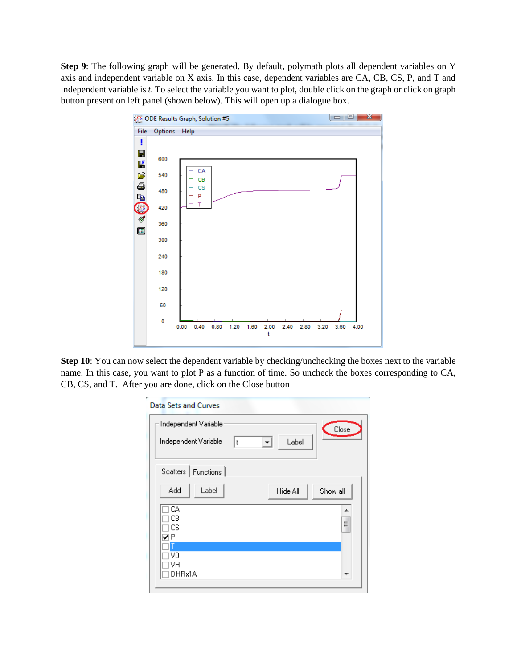**Step 9**: The following graph will be generated. By default, polymath plots all dependent variables on Y axis and independent variable on X axis. In this case, dependent variables are CA, CB, CS, P, and T and independent variable is *t*. To select the variable you want to plot, double click on the graph or click on graph button present on left panel (shown below). This will open up a dialogue box.



**Step 10**: You can now select the dependent variable by checking/unchecking the boxes next to the variable name. In this case, you want to plot P as a function of time. So uncheck the boxes corresponding to CA, CB, CS, and T. After you are done, click on the Close button

| Data Sets and Curves                          |                      |  |
|-----------------------------------------------|----------------------|--|
| Independent Variable:<br>Independent Variable | Close<br>Label<br>Ιt |  |
| Scatters<br>Functions                         |                      |  |
| Add<br>Label                                  | Hide All<br>Show all |  |
| CA.<br>CВ<br>CS<br>VP                         | ▲<br>5               |  |
| V0<br>VH<br>DHRx1A                            | ┯                    |  |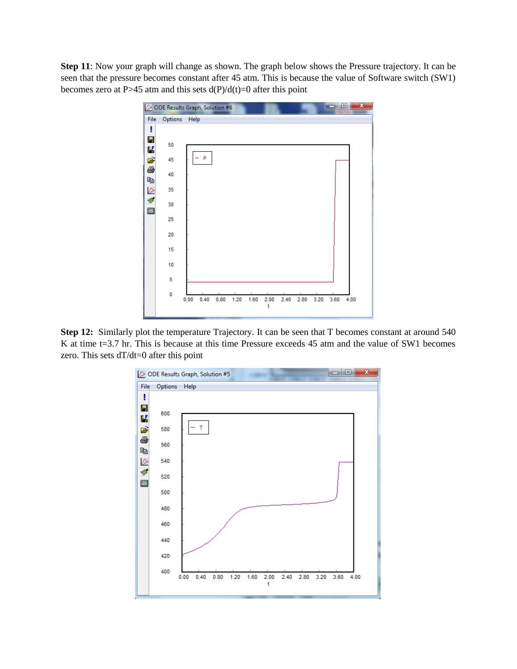**Step 11**: Now your graph will change as shown. The graph below shows the Pressure trajectory. It can be seen that the pressure becomes constant after 45 atm. This is because the value of Software switch (SW1) becomes zero at P>45 atm and this sets  $d(P)/d(t)=0$  after this point



**Step 12:** Similarly plot the temperature Trajectory. It can be seen that T becomes constant at around 540 K at time t=3.7 hr. This is because at this time Pressure exceeds 45 atm and the value of SW1 becomes zero. This sets dT/dt=0 after this point

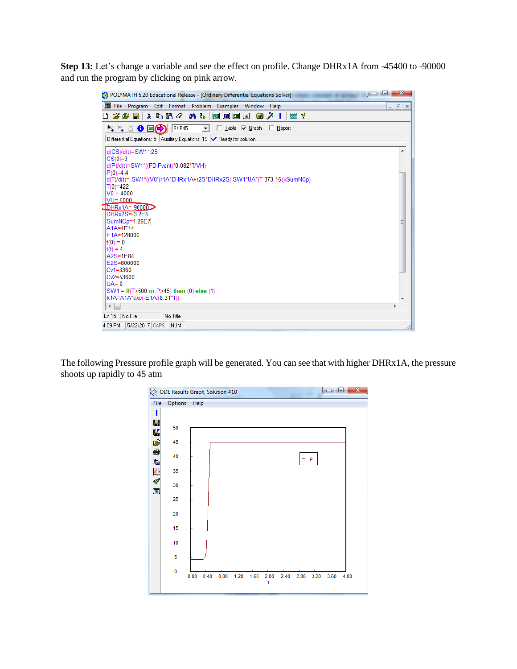**Step 13:** Let's change a variable and see the effect on profile. Change DHRx1A from -45400 to -90000 and run the program by clicking on pink arrow.

| e<br>$\blacksquare$<br>POLYMATH 6.20 Educational Release - [Ordinary Differential Equations Solver]                    | x          |
|------------------------------------------------------------------------------------------------------------------------|------------|
| $\boxed{d_{\mathbb{X}}}$<br>Edit Format Problem<br>File Program<br>Examples Window<br>Help<br>$\overline{\phantom{a}}$ | $F \times$ |
| <b>确品</b><br>垂?<br>Y.<br>\$60<br>圃<br>e e o<br>◪<br>$f \times$ $x$<br>$\lambda$ !<br><b>Final</b><br>ו ו               |            |
| RKF45<br>$\Box$ Iable $\Box$ Graph<br>$\Box$ Report<br>$\mathbf{r}$                                                    |            |
|                                                                                                                        |            |
| Differential Equations: 5   Auxiliary Equations: 19   √ Ready for solution                                             |            |
| d(CS)/d(t)=SW1*r2S                                                                                                     | ▲          |
| $CS(0)=3$                                                                                                              |            |
| d(P)/d(t)=SW1*((FD-Fvent)*0.082*T/VH)                                                                                  |            |
| $P(0)=4.4$<br>d(T)/d(t)= SW1*((V0*(r1A*DHRx1A+r2S*DHRx2S)-SW1*UA*(T-373.15))/SumNCp)                                   |            |
| $T(0)=422$                                                                                                             |            |
| $V0 = 4000$                                                                                                            |            |
| $VH = 5000$                                                                                                            |            |
| $IDHRx1A = -9000D$                                                                                                     |            |
| $DHRx2S=.3.2E5$                                                                                                        |            |
| SumNCp=1.26E7                                                                                                          |            |
| A1A=4E14                                                                                                               |            |
| E1A=128000                                                                                                             |            |
| $ t(0) = 0$                                                                                                            |            |
| $\text{lt}(f) = 4$<br>$A2S=1E84$                                                                                       |            |
| E2S=800000                                                                                                             |            |
| $Cv1 = 3360$                                                                                                           |            |
| $Cv2 = 53600$                                                                                                          |            |
| $U = 0$                                                                                                                |            |
| SW1 = If(T>600 or P>45) then (0) else (1)                                                                              |            |
| k1A=A1A*exp(-E1A/(8.31*T))                                                                                             |            |
| $\leftarrow$                                                                                                           |            |
| No File<br>Ln 15<br>No Title                                                                                           |            |
| 4:09 PM<br>5/22/2017 CAPS<br>I NUM                                                                                     |            |

The following Pressure profile graph will be generated. You can see that with higher DHRx1A, the pressure shoots up rapidly to 45 atm